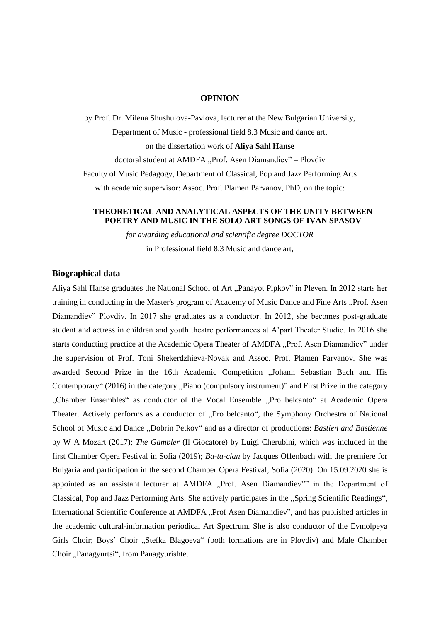### **OPINION**

by Prof. Dr. Milena Shushulova-Pavlova, lecturer at the New Bulgarian University, Department of Music - professional field 8.3 Music and dance art, on the dissertation work of **Aliya Sahl Hanse** doctoral student at AMDFA "Prof. Asen Diamandiev" – Plovdiv Faculty of Music Pedagogy, Department of Classical, Pop and Jazz Performing Arts with academic supervisor: Assoc. Prof. Plamen Parvanov, PhD, on the topic:

## **THEORETICAL AND ANALYTICAL ASPECTS OF THE UNITY BETWEEN POETRY AND MUSIC IN THE SOLO ART SONGS OF IVAN SPASOV**

*for awarding educational and scientific degree DOCTOR* in Professional field 8.3 Music and dance art,

# **Biographical data**

Aliya Sahl Hanse graduates the National School of Art "Panayot Pipkov" in Pleven. In 2012 starts her training in conducting in the Master's program of Academy of Music Dance and Fine Arts "Prof. Asen Diamandiev" Plovdiv. In 2017 she graduates as a conductor. In 2012, she becomes post-graduate student and actress in children and youth theatre performances at A'part Theater Studio. In 2016 she starts conducting practice at the Academic Opera Theater of AMDFA "Prof. Asen Diamandiev" under the supervision of Prof. Toni Shekerdzhieva-Novak and Assoc. Prof. Plamen Parvanov. She was awarded Second Prize in the 16th Academic Competition "Johann Sebastian Bach and His Contemporary" (2016) in the category "Piano (compulsory instrument)" and First Prize in the category "Chamber Ensembles" as conductor of the Vocal Ensemble "Pro belcanto" at Academic Opera Theater. Actively performs as a conductor of "Pro belcanto", the Symphony Orchestra of National School of Music and Dance "Dobrin Petkov" and as a director of productions: *Bastien and Bastienne* by W A Mozart (2017); *The Gambler* (Il Giocatore) by Luigi Cherubini, which was included in the first Chamber Opera Festival in Sofia (2019); *Ba-ta-clan* by Jacques Offenbach with the premiere for Bulgaria and participation in the second Chamber Opera Festival, Sofia (2020). On 15.09.2020 she is appointed as an assistant lecturer at AMDFA "Prof. Asen Diamandiev"" in the Department of Classical, Pop and Jazz Performing Arts. She actively participates in the "Spring Scientific Readings", International Scientific Conference at AMDFA "Prof Asen Diamandiev", and has published articles in the academic cultural-information periodical Art Spectrum. She is also conductor of the Evmolpeya Girls Choir; Boys' Choir "Stefka Blagoeva" (both formations are in Plovdiv) and Male Chamber Choir "Panagyurtsi", from Panagyurishte.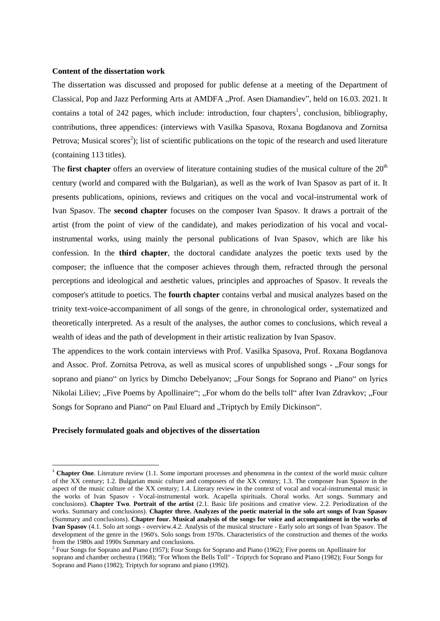### **Content of the dissertation work**

The dissertation was discussed and proposed for public defense at a meeting of the Department of Classical, Pop and Jazz Performing Arts at AMDFA "Prof. Asen Diamandiev", held on 16.03. 2021. It contains a total of 242 pages, which include: introduction, four chapters<sup>1</sup>, conclusion, bibliography, contributions, three appendices: (interviews with Vasilka Spasova, Roxana Bogdanova and Zornitsa Petrova; Musical scores<sup>2</sup>); list of scientific publications on the topic of the research and used literature (containing 113 titles).

The **first chapter** offers an overview of literature containing studies of the musical culture of the 20<sup>th</sup> century (world and compared with the Bulgarian), as well as the work of Ivan Spasov as part of it. It presents publications, opinions, reviews and critiques on the vocal and vocal-instrumental work of Ivan Spasov. The **second chapter** focuses on the composer Ivan Spasov. It draws a portrait of the artist (from the point of view of the candidate), and makes periodization of his vocal and vocalinstrumental works, using mainly the personal publications of Ivan Spasov, which are like his confession. In the **third chapter**, the doctoral candidate analyzes the poetic texts used by the composer; the influence that the composer achieves through them, refracted through the personal perceptions and ideological and aesthetic values, principles and approaches of Spasov. It reveals the composer's attitude to poetics. The **fourth chapter** contains verbal and musical analyzes based on the trinity text-voice-accompaniment of all songs of the genre, in chronological order, systematized and theoretically interpreted. As a result of the analyses, the author comes to conclusions, which reveal a wealth of ideas and the path of development in their artistic realization by Ivan Spasov.

The appendices to the work contain interviews with Prof. Vasilka Spasova, Prof. Roxana Bogdanova and Assoc. Prof. Zornitsa Petrova, as well as musical scores of unpublished songs - "Four songs for soprano and piano" on lyrics by Dimcho Debelyanov; "Four Songs for Soprano and Piano" on lyrics Nikolai Liliev; "Five Poems by Apollinaire"; "For whom do the bells toll" after Ivan Zdravkov; "Four Songs for Soprano and Piano" on Paul Eluard and "Triptych by Emily Dickinson".

#### **Precisely formulated goals and objectives of the dissertation**

**.** 

<sup>&</sup>lt;sup>1</sup> Chapter One. Literature review (1.1. Some important processes and phenomena in the context of the world music culture of the XX century; 1.2. Bulgarian music culture and composers of the XX century; 1.3. The composer Ivan Spasov in the aspect of the music culture of the XX century; 1.4. Literary review in the context of vocal and vocal-instrumental music in the works of Ivan Spasov - Vocal-instrumental work. Acapella spirituals. Choral works. Art songs. Summary and conclusions). **Chapter Two**. **Portrait of the artist** (2.1. Basic life positions and creative view. 2.2. Periodization of the works. Summary and conclusions). **Chapter three. Analyzes of the poetic material in the solo art songs of Ivan Spasov** (Summary and conclusions). **Chapter four. Musical analysis of the songs for voice and accompaniment in the works of Ivan Spasov** (4.1. Solo art songs - overview.4.2. Analysis of the musical structure - Early solo art songs of Ivan Spasov. The development of the genre in the 1960's. Solo songs from 1970s. Characteristics of the construction and themes of the works from the 1980s and 1990s Summary and conclusions.

 $2^2$  Four Songs for Soprano and Piano (1957); Four Songs for Soprano and Piano (1962); Five poems on Apollinaire for soprano and chamber orchestra (1968); "For Whom the Bells Toll" - Triptych for Soprano and Piano (1982); Four Songs for Soprano and Piano (1982); Triptych for soprano and piano (1992).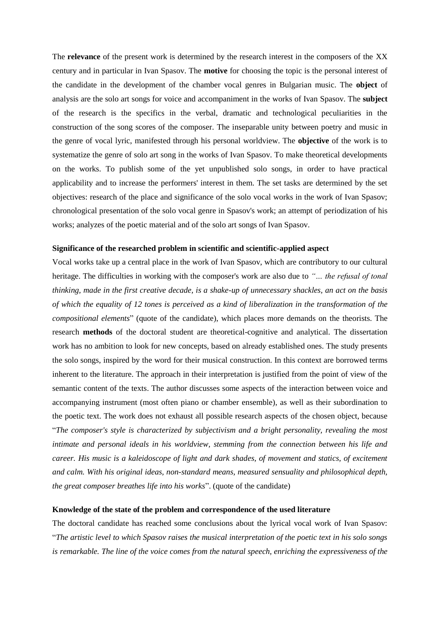The **relevance** of the present work is determined by the research interest in the composers of the XX century and in particular in Ivan Spasov. The **motive** for choosing the topic is the personal interest of the candidate in the development of the chamber vocal genres in Bulgarian music. The **object** of analysis are the solo art songs for voice and accompaniment in the works of Ivan Spasov. The **subject** of the research is the specifics in the verbal, dramatic and technological peculiarities in the construction of the song scores of the composer. The inseparable unity between poetry and music in the genre of vocal lyric, manifested through his personal worldview. The **objective** of the work is to systematize the genre of solo art song in the works of Ivan Spasov. To make theoretical developments on the works. To publish some of the yet unpublished solo songs, in order to have practical applicability and to increase the performers' interest in them. The set tasks are determined by the set objectives: research of the place and significance of the solo vocal works in the work of Ivan Spasov; chronological presentation of the solo vocal genre in Spasov's work; an attempt of periodization of his works; analyzes of the poetic material and of the solo art songs of Ivan Spasov.

### **Significance of the researched problem in scientific and scientific-applied aspect**

Vocal works take up a central place in the work of Ivan Spasov, which are contributory to our cultural heritage. The difficulties in working with the composer's work are also due to *"… the refusal of tonal thinking, made in the first creative decade, is a shake-up of unnecessary shackles, an act on the basis of which the equality of 12 tones is perceived as a kind of liberalization in the transformation of the compositional elements*" (quote of the candidate), which places more demands on the theorists. The research **methods** of the doctoral student are theoretical-cognitive and analytical. The dissertation work has no ambition to look for new concepts, based on already established ones. The study presents the solo songs, inspired by the word for their musical construction. In this context are borrowed terms inherent to the literature. The approach in their interpretation is justified from the point of view of the semantic content of the texts. The author discusses some aspects of the interaction between voice and accompanying instrument (most often piano or chamber ensemble), as well as their subordination to the poetic text. The work does not exhaust all possible research aspects of the chosen object, because "*The composer's style is characterized by subjectivism and a bright personality, revealing the most intimate and personal ideals in his worldview, stemming from the connection between his life and career. His music is a kaleidoscope of light and dark shades, of movement and statics, of excitement and calm. With his original ideas, non-standard means, measured sensuality and philosophical depth, the great composer breathes life into his works*". (quote of the candidate)

### **Knowledge of the state of the problem and correspondence of the used literature**

The doctoral candidate has reached some conclusions about the lyrical vocal work of Ivan Spasov: "*The artistic level to which Spasov raises the musical interpretation of the poetic text in his solo songs is remarkable. The line of the voice comes from the natural speech, enriching the expressiveness of the*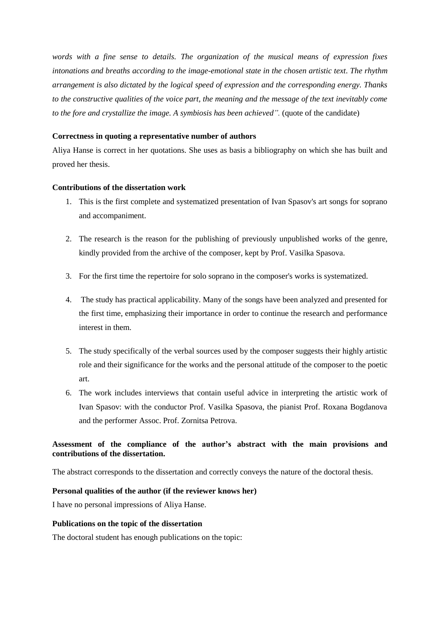*words with a fine sense to details. The organization of the musical means of expression fixes intonations and breaths according to the image-emotional state in the chosen artistic text*. *The rhythm arrangement is also dictated by the logical speed of expression and the corresponding energy. Thanks to the constructive qualities of the voice part, the meaning and the message of the text inevitably come to the fore and crystallize the image. A symbiosis has been achieved".* (quote of the candidate)

# **Correctness in quoting a representative number of authors**

Aliya Hanse is correct in her quotations. She uses as basis a bibliography on which she has built and proved her thesis.

# **Contributions of the dissertation work**

- 1. This is the first complete and systematized presentation of Ivan Spasov's art songs for soprano and accompaniment.
- 2. The research is the reason for the publishing of previously unpublished works of the genre, kindly provided from the archive of the composer, kept by Prof. Vasilka Spasova.
- 3. For the first time the repertoire for solo soprano in the composer's works is systematized.
- 4. The study has practical applicability. Many of the songs have been analyzed and presented for the first time, emphasizing their importance in order to continue the research and performance interest in them.
- 5. The study specifically of the verbal sources used by the composer suggests their highly artistic role and their significance for the works and the personal attitude of the composer to the poetic art.
- 6. The work includes interviews that contain useful advice in interpreting the artistic work of Ivan Spasov: with the conductor Prof. Vasilka Spasova, the pianist Prof. Roxana Bogdanova and the performer Assoc. Prof. Zornitsa Petrova.

# **Assessment of the compliance of the author's abstract with the main provisions and contributions of the dissertation.**

The abstract corresponds to the dissertation and correctly conveys the nature of the doctoral thesis.

# **Personal qualities of the author (if the reviewer knows her)**

I have no personal impressions of Aliya Hanse.

# **Publications on the topic of the dissertation**

The doctoral student has enough publications on the topic: